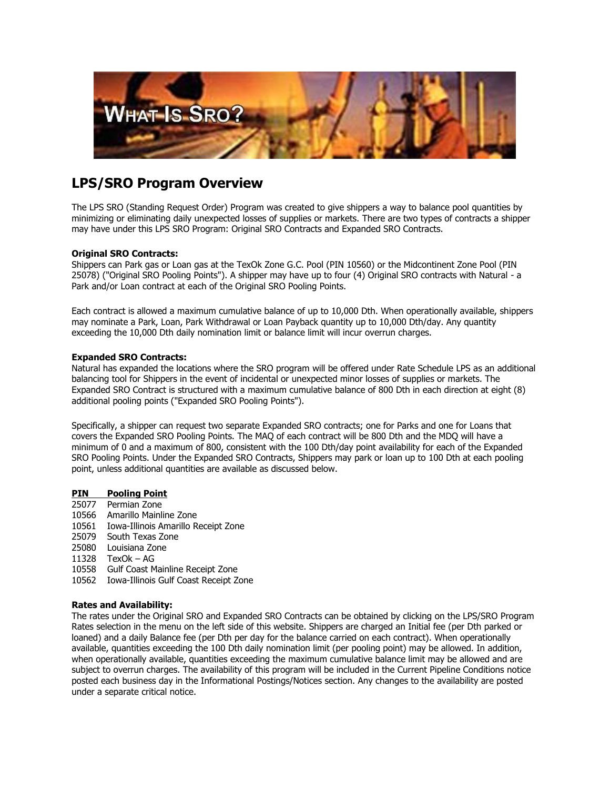

# **LPS/SRO Program Overview**

The LPS SRO (Standing Request Order) Program was created to give shippers a way to balance pool quantities by minimizing or eliminating daily unexpected losses of supplies or markets. There are two types of contracts a shipper may have under this LPS SRO Program: Original SRO Contracts and Expanded SRO Contracts.

## **Original SRO Contracts:**

Shippers can Park gas or Loan gas at the TexOk Zone G.C. Pool (PIN 10560) or the Midcontinent Zone Pool (PIN 25078) ("Original SRO Pooling Points"). A shipper may have up to four (4) Original SRO contracts with Natural - a Park and/or Loan contract at each of the Original SRO Pooling Points.

Each contract is allowed a maximum cumulative balance of up to 10,000 Dth. When operationally available, shippers may nominate a Park, Loan, Park Withdrawal or Loan Payback quantity up to 10,000 Dth/day. Any quantity exceeding the 10,000 Dth daily nomination limit or balance limit will incur overrun charges.

### **Expanded SRO Contracts:**

Natural has expanded the locations where the SRO program will be offered under Rate Schedule LPS as an additional balancing tool for Shippers in the event of incidental or unexpected minor losses of supplies or markets. The Expanded SRO Contract is structured with a maximum cumulative balance of 800 Dth in each direction at eight (8) additional pooling points ("Expanded SRO Pooling Points").

Specifically, a shipper can request two separate Expanded SRO contracts; one for Parks and one for Loans that covers the Expanded SRO Pooling Points. The MAQ of each contract will be 800 Dth and the MDQ will have a minimum of 0 and a maximum of 800, consistent with the 100 Dth/day point availability for each of the Expanded SRO Pooling Points. Under the Expanded SRO Contracts, Shippers may park or loan up to 100 Dth at each pooling point, unless additional quantities are available as discussed below.

### **PIN Pooling Point**

- 25077 Permian Zone
- 10566 Amarillo Mainline Zone
- 10561 Iowa-Illinois Amarillo Receipt Zone
- 25079 South Texas Zone
- 25080 Louisiana Zone
- 11328 TexOk AG
- 10558 Gulf Coast Mainline Receipt Zone
- 10562 Iowa-Illinois Gulf Coast Receipt Zone

## **Rates and Availability:**

The rates under the Original SRO and Expanded SRO Contracts can be obtained by clicking on the LPS/SRO Program Rates selection in the menu on the left side of this website. Shippers are charged an Initial fee (per Dth parked or loaned) and a daily Balance fee (per Dth per day for the balance carried on each contract). When operationally available, quantities exceeding the 100 Dth daily nomination limit (per pooling point) may be allowed. In addition, when operationally available, quantities exceeding the maximum cumulative balance limit may be allowed and are subject to overrun charges. The availability of this program will be included in the Current Pipeline Conditions notice posted each business day in the Informational Postings/Notices section. Any changes to the availability are posted under a separate critical notice.